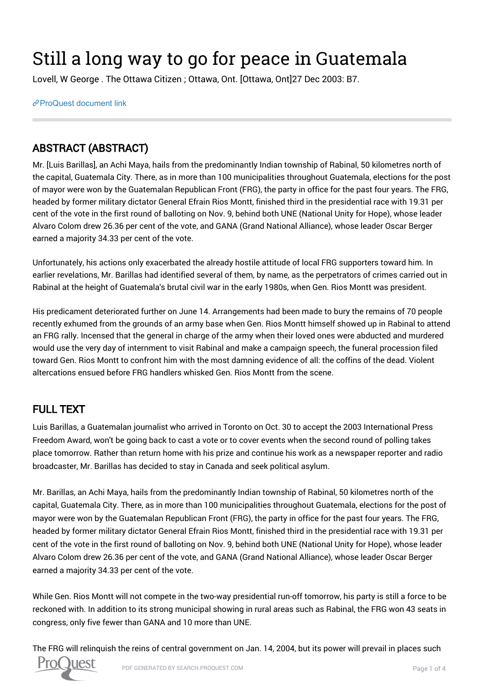## Still a long way to go for peace in Guatemala

Lovell, W George . The Ottawa Citizen ; Ottawa, Ont. [Ottawa, Ont]27 Dec 2003: B7.

[ProQuest document link](https://proxy.queensu.ca/login?url=https://search.proquest.com/docview/240705873?accountid=6180)

## ABSTRACT (ABSTRACT)

Mr. [Luis Barillas], an Achi Maya, hails from the predominantly Indian township of Rabinal, 50 kilometres north of the capital, Guatemala City. There, as in more than 100 municipalities throughout Guatemala, elections for the post of mayor were won by the Guatemalan Republican Front (FRG), the party in office for the past four years. The FRG, headed by former military dictator General Efrain Rios Montt, finished third in the presidential race with 19.31 per cent of the vote in the first round of balloting on Nov. 9, behind both UNE (National Unity for Hope), whose leader Alvaro Colom drew 26.36 per cent of the vote, and GANA (Grand National Alliance), whose leader Oscar Berger earned a majority 34.33 per cent of the vote.

Unfortunately, his actions only exacerbated the already hostile attitude of local FRG supporters toward him. In earlier revelations, Mr. Barillas had identified several of them, by name, as the perpetrators of crimes carried out in Rabinal at the height of Guatemala's brutal civil war in the early 1980s, when Gen. Rios Montt was president.

His predicament deteriorated further on June 14. Arrangements had been made to bury the remains of 70 people recently exhumed from the grounds of an army base when Gen. Rios Montt himself showed up in Rabinal to attend an FRG rally. Incensed that the general in charge of the army when their loved ones were abducted and murdered would use the very day of internment to visit Rabinal and make a campaign speech, the funeral procession filed toward Gen. Rios Montt to confront him with the most damning evidence of all: the coffins of the dead. Violent altercations ensued before FRG handlers whisked Gen. Rios Montt from the scene.

## FULL TEXT

Luis Barillas, a Guatemalan journalist who arrived in Toronto on Oct. 30 to accept the 2003 International Press Freedom Award, won't be going back to cast a vote or to cover events when the second round of polling takes place tomorrow. Rather than return home with his prize and continue his work as a newspaper reporter and radio broadcaster, Mr. Barillas has decided to stay in Canada and seek political asylum.

Mr. Barillas, an Achi Maya, hails from the predominantly Indian township of Rabinal, 50 kilometres north of the capital, Guatemala City. There, as in more than 100 municipalities throughout Guatemala, elections for the post of mayor were won by the Guatemalan Republican Front (FRG), the party in office for the past four years. The FRG, headed by former military dictator General Efrain Rios Montt, finished third in the presidential race with 19.31 per cent of the vote in the first round of balloting on Nov. 9, behind both UNE (National Unity for Hope), whose leader Alvaro Colom drew 26.36 per cent of the vote, and GANA (Grand National Alliance), whose leader Oscar Berger earned a majority 34.33 per cent of the vote.

While Gen. Rios Montt will not compete in the two-way presidential run-off tomorrow, his party is still a force to be reckoned with. In addition to its strong municipal showing in rural areas such as Rabinal, the FRG won 43 seats in congress, only five fewer than GANA and 10 more than UNE.

The FRG will relinquish the reins of central government on Jan. 14, 2004, but its power will prevail in places such

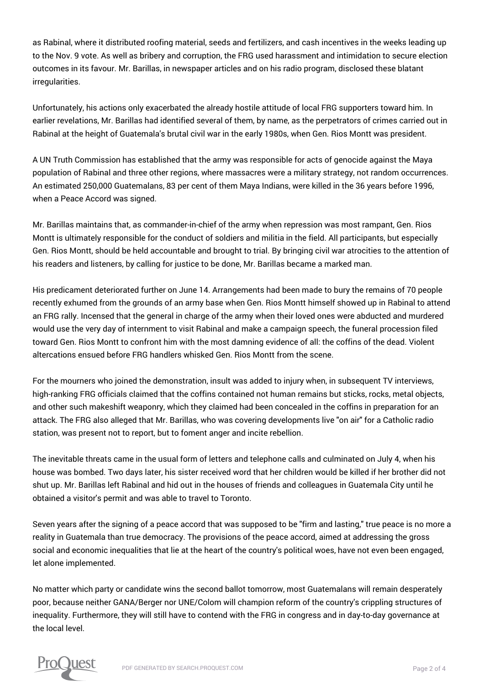as Rabinal, where it distributed roofing material, seeds and fertilizers, and cash incentives in the weeks leading up to the Nov. 9 vote. As well as bribery and corruption, the FRG used harassment and intimidation to secure election outcomes in its favour. Mr. Barillas, in newspaper articles and on his radio program, disclosed these blatant irregularities.

Unfortunately, his actions only exacerbated the already hostile attitude of local FRG supporters toward him. In earlier revelations, Mr. Barillas had identified several of them, by name, as the perpetrators of crimes carried out in Rabinal at the height of Guatemala's brutal civil war in the early 1980s, when Gen. Rios Montt was president.

A UN Truth Commission has established that the army was responsible for acts of genocide against the Maya population of Rabinal and three other regions, where massacres were a military strategy, not random occurrences. An estimated 250,000 Guatemalans, 83 per cent of them Maya Indians, were killed in the 36 years before 1996, when a Peace Accord was signed.

Mr. Barillas maintains that, as commander-in-chief of the army when repression was most rampant, Gen. Rios Montt is ultimately responsible for the conduct of soldiers and militia in the field. All participants, but especially Gen. Rios Montt, should be held accountable and brought to trial. By bringing civil war atrocities to the attention of his readers and listeners, by calling for justice to be done, Mr. Barillas became a marked man.

His predicament deteriorated further on June 14. Arrangements had been made to bury the remains of 70 people recently exhumed from the grounds of an army base when Gen. Rios Montt himself showed up in Rabinal to attend an FRG rally. Incensed that the general in charge of the army when their loved ones were abducted and murdered would use the very day of internment to visit Rabinal and make a campaign speech, the funeral procession filed toward Gen. Rios Montt to confront him with the most damning evidence of all: the coffins of the dead. Violent altercations ensued before FRG handlers whisked Gen. Rios Montt from the scene.

For the mourners who joined the demonstration, insult was added to injury when, in subsequent TV interviews, high-ranking FRG officials claimed that the coffins contained not human remains but sticks, rocks, metal objects, and other such makeshift weaponry, which they claimed had been concealed in the coffins in preparation for an attack. The FRG also alleged that Mr. Barillas, who was covering developments live "on air" for a Catholic radio station, was present not to report, but to foment anger and incite rebellion.

The inevitable threats came in the usual form of letters and telephone calls and culminated on July 4, when his house was bombed. Two days later, his sister received word that her children would be killed if her brother did not shut up. Mr. Barillas left Rabinal and hid out in the houses of friends and colleagues in Guatemala City until he obtained a visitor's permit and was able to travel to Toronto.

Seven years after the signing of a peace accord that was supposed to be "firm and lasting," true peace is no more a reality in Guatemala than true democracy. The provisions of the peace accord, aimed at addressing the gross social and economic inequalities that lie at the heart of the country's political woes, have not even been engaged, let alone implemented.

No matter which party or candidate wins the second ballot tomorrow, most Guatemalans will remain desperately poor, because neither GANA/Berger nor UNE/Colom will champion reform of the country's crippling structures of inequality. Furthermore, they will still have to contend with the FRG in congress and in day-to-day governance at the local level.

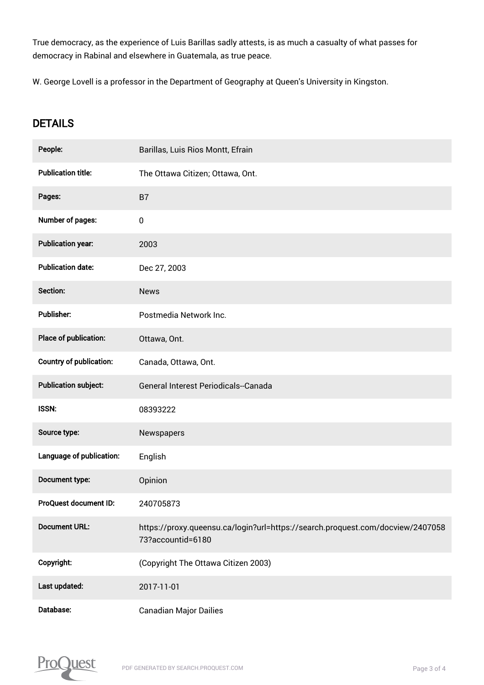True democracy, as the experience of Luis Barillas sadly attests, is as much a casualty of what passes for democracy in Rabinal and elsewhere in Guatemala, as true peace.

W. George Lovell is a professor in the Department of Geography at Queen's University in Kingston.

## **DETAILS**

| People:                        | Barillas, Luis Rios Montt, Efrain                                                                   |
|--------------------------------|-----------------------------------------------------------------------------------------------------|
| <b>Publication title:</b>      | The Ottawa Citizen; Ottawa, Ont.                                                                    |
| Pages:                         | <b>B7</b>                                                                                           |
| Number of pages:               | $\pmb{0}$                                                                                           |
| <b>Publication year:</b>       | 2003                                                                                                |
| <b>Publication date:</b>       | Dec 27, 2003                                                                                        |
| Section:                       | <b>News</b>                                                                                         |
| <b>Publisher:</b>              | Postmedia Network Inc.                                                                              |
| Place of publication:          | Ottawa, Ont.                                                                                        |
| <b>Country of publication:</b> | Canada, Ottawa, Ont.                                                                                |
| <b>Publication subject:</b>    | General Interest Periodicals--Canada                                                                |
| <b>ISSN:</b>                   | 08393222                                                                                            |
| Source type:                   | Newspapers                                                                                          |
| Language of publication:       | English                                                                                             |
| Document type:                 | Opinion                                                                                             |
| ProQuest document ID:          | 240705873                                                                                           |
| <b>Document URL:</b>           | https://proxy.queensu.ca/login?url=https://search.proquest.com/docview/2407058<br>73?accountid=6180 |
| Copyright:                     | (Copyright The Ottawa Citizen 2003)                                                                 |
| Last updated:                  | 2017-11-01                                                                                          |
| Database:                      | <b>Canadian Major Dailies</b>                                                                       |